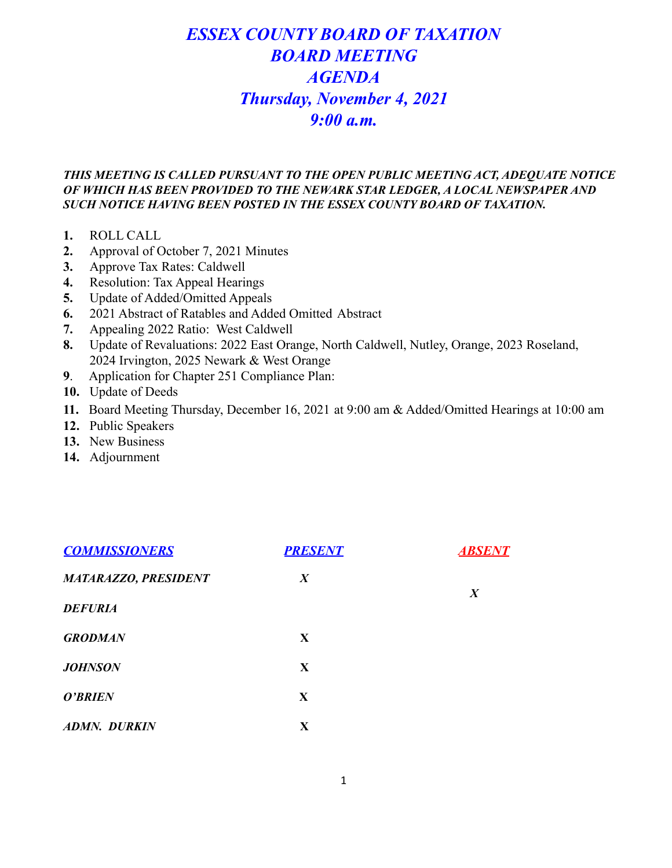# *ESSEX COUNTY BOARD OF TAXATION BOARD MEETING AGENDA Thursday, November 4, 2021 9:00 a.m.*

# *THIS MEETING IS CALLED PURSUANT TO THE OPEN PUBLIC MEETING ACT, ADEQUATE NOTICE OF WHICH HAS BEEN PROVIDED TO THE NEWARK STAR LEDGER, A LOCAL NEWSPAPER AND SUCH NOTICE HAVING BEEN POSTED IN THE ESSEX COUNTY BOARD OF TAXATION.*

- **1.** ROLL CALL
- **2.** Approval of October 7, 2021 Minutes
- **3.** Approve Tax Rates: Caldwell
- **4.** Resolution: Tax Appeal Hearings
- **5.** Update of Added/Omitted Appeals
- **6.** 2021 Abstract of Ratables and Added Omitted Abstract
- **7.** Appealing 2022 Ratio: West Caldwell
- **8.** Update of Revaluations: 2022 East Orange, North Caldwell, Nutley, Orange, 2023 Roseland, 2024 Irvington, 2025 Newark & West Orange
- **9**. Application for Chapter 251 Compliance Plan:
- **10.** Update of Deeds
- **11.** Board Meeting Thursday, December 16, 2021 at 9:00 am & Added/Omitted Hearings at 10:00 am
- **12.** Public Speakers
- **13.** New Business
- **14.** Adjournment

| <b>COMMISSIONERS</b>        | <b>PRESENT</b>   | <b>ABSENT</b>    |
|-----------------------------|------------------|------------------|
| <b>MATARAZZO, PRESIDENT</b> | $\boldsymbol{X}$ | $\boldsymbol{X}$ |
| <b>DEFURIA</b>              |                  |                  |
| <b>GRODMAN</b>              | X                |                  |
| <b>JOHNSON</b>              | X                |                  |
| O'BRIEN                     | X                |                  |
| <b>ADMN. DURKIN</b>         | X                |                  |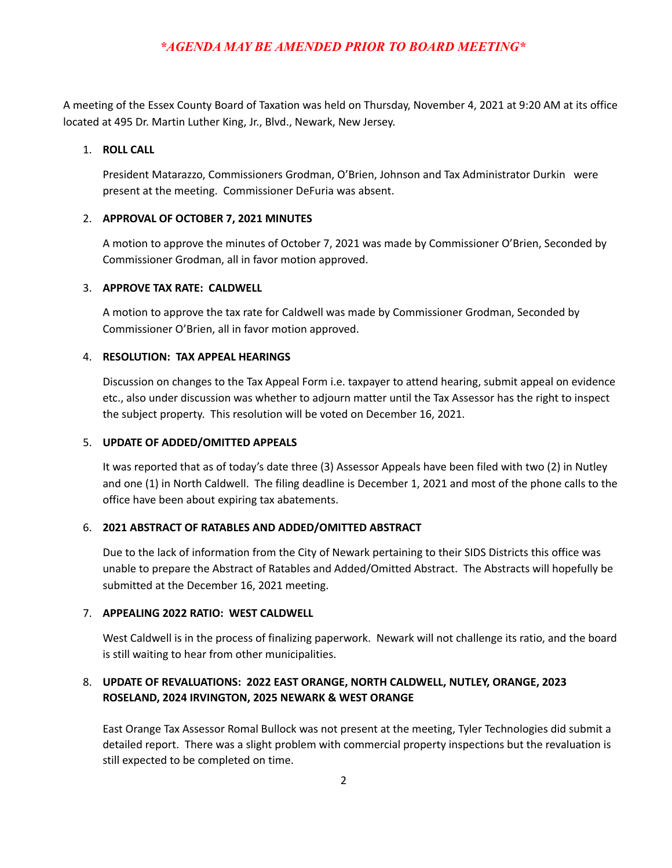## *\*AGENDA MAY BE AMENDED PRIOR TO BOARD MEETING\**

A meeting of the Essex County Board of Taxation was held on Thursday, November 4, 2021 at 9:20 AM at its office located at 495 Dr. Martin Luther King, Jr., Blvd., Newark, New Jersey.

#### 1. **ROLL CALL**

President Matarazzo, Commissioners Grodman, O'Brien, Johnson and Tax Administrator Durkin were present at the meeting. Commissioner DeFuria was absent.

#### 2. **APPROVAL OF OCTOBER 7, 2021 MINUTES**

A motion to approve the minutes of October 7, 2021 was made by Commissioner O'Brien, Seconded by Commissioner Grodman, all in favor motion approved.

#### 3. **APPROVE TAX RATE: CALDWELL**

A motion to approve the tax rate for Caldwell was made by Commissioner Grodman, Seconded by Commissioner O'Brien, all in favor motion approved.

#### 4. **RESOLUTION: TAX APPEAL HEARINGS**

Discussion on changes to the Tax Appeal Form i.e. taxpayer to attend hearing, submit appeal on evidence etc., also under discussion was whether to adjourn matter until the Tax Assessor has the right to inspect the subject property. This resolution will be voted on December 16, 2021.

#### 5. **UPDATE OF ADDED/OMITTED APPEALS**

It was reported that as of today's date three (3) Assessor Appeals have been filed with two (2) in Nutley and one (1) in North Caldwell. The filing deadline is December 1, 2021 and most of the phone calls to the office have been about expiring tax abatements.

#### 6. **2021 ABSTRACT OF RATABLES AND ADDED/OMITTED ABSTRACT**

Due to the lack of information from the City of Newark pertaining to their SIDS Districts this office was unable to prepare the Abstract of Ratables and Added/Omitted Abstract. The Abstracts will hopefully be submitted at the December 16, 2021 meeting.

#### 7. **APPEALING 2022 RATIO: WEST CALDWELL**

West Caldwell is in the process of finalizing paperwork. Newark will not challenge its ratio, and the board is still waiting to hear from other municipalities.

## 8. **UPDATE OF REVALUATIONS: 2022 EAST ORANGE, NORTH CALDWELL, NUTLEY, ORANGE, 2023 ROSELAND, 2024 IRVINGTON, 2025 NEWARK & WEST ORANGE**

East Orange Tax Assessor Romal Bullock was not present at the meeting, Tyler Technologies did submit a detailed report. There was a slight problem with commercial property inspections but the revaluation is still expected to be completed on time.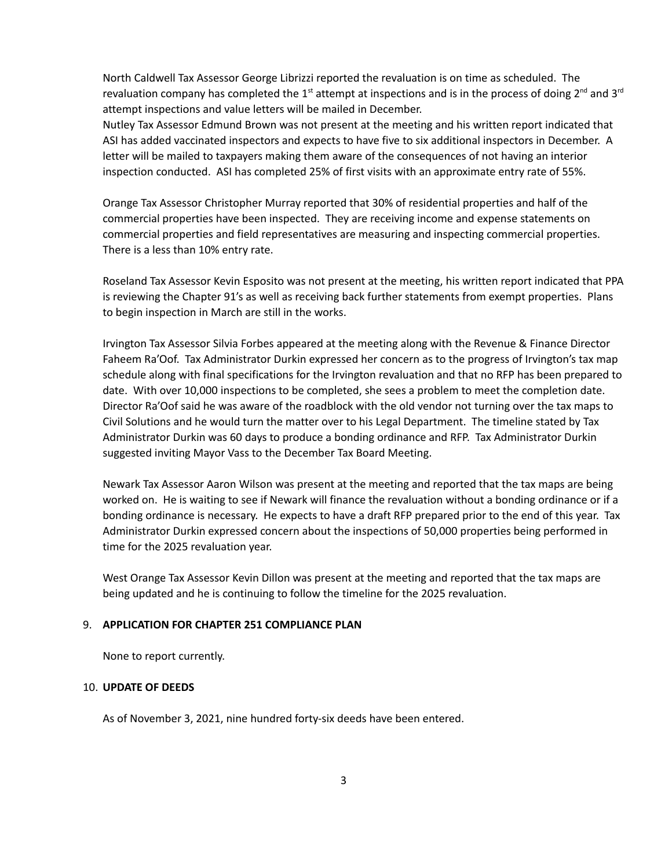North Caldwell Tax Assessor George Librizzi reported the revaluation is on time as scheduled. The revaluation company has completed the 1<sup>st</sup> attempt at inspections and is in the process of doing 2<sup>nd</sup> and 3<sup>rd</sup> attempt inspections and value letters will be mailed in December.

Nutley Tax Assessor Edmund Brown was not present at the meeting and his written report indicated that ASI has added vaccinated inspectors and expects to have five to six additional inspectors in December. A letter will be mailed to taxpayers making them aware of the consequences of not having an interior inspection conducted. ASI has completed 25% of first visits with an approximate entry rate of 55%.

Orange Tax Assessor Christopher Murray reported that 30% of residential properties and half of the commercial properties have been inspected. They are receiving income and expense statements on commercial properties and field representatives are measuring and inspecting commercial properties. There is a less than 10% entry rate.

Roseland Tax Assessor Kevin Esposito was not present at the meeting, his written report indicated that PPA is reviewing the Chapter 91's as well as receiving back further statements from exempt properties. Plans to begin inspection in March are still in the works.

Irvington Tax Assessor Silvia Forbes appeared at the meeting along with the Revenue & Finance Director Faheem Ra'Oof. Tax Administrator Durkin expressed her concern as to the progress of Irvington's tax map schedule along with final specifications for the Irvington revaluation and that no RFP has been prepared to date. With over 10,000 inspections to be completed, she sees a problem to meet the completion date. Director Ra'Oof said he was aware of the roadblock with the old vendor not turning over the tax maps to Civil Solutions and he would turn the matter over to his Legal Department. The timeline stated by Tax Administrator Durkin was 60 days to produce a bonding ordinance and RFP. Tax Administrator Durkin suggested inviting Mayor Vass to the December Tax Board Meeting.

Newark Tax Assessor Aaron Wilson was present at the meeting and reported that the tax maps are being worked on. He is waiting to see if Newark will finance the revaluation without a bonding ordinance or if a bonding ordinance is necessary. He expects to have a draft RFP prepared prior to the end of this year. Tax Administrator Durkin expressed concern about the inspections of 50,000 properties being performed in time for the 2025 revaluation year.

West Orange Tax Assessor Kevin Dillon was present at the meeting and reported that the tax maps are being updated and he is continuing to follow the timeline for the 2025 revaluation.

#### 9. **APPLICATION FOR CHAPTER 251 COMPLIANCE PLAN**

None to report currently.

#### 10. **UPDATE OF DEEDS**

As of November 3, 2021, nine hundred forty-six deeds have been entered.